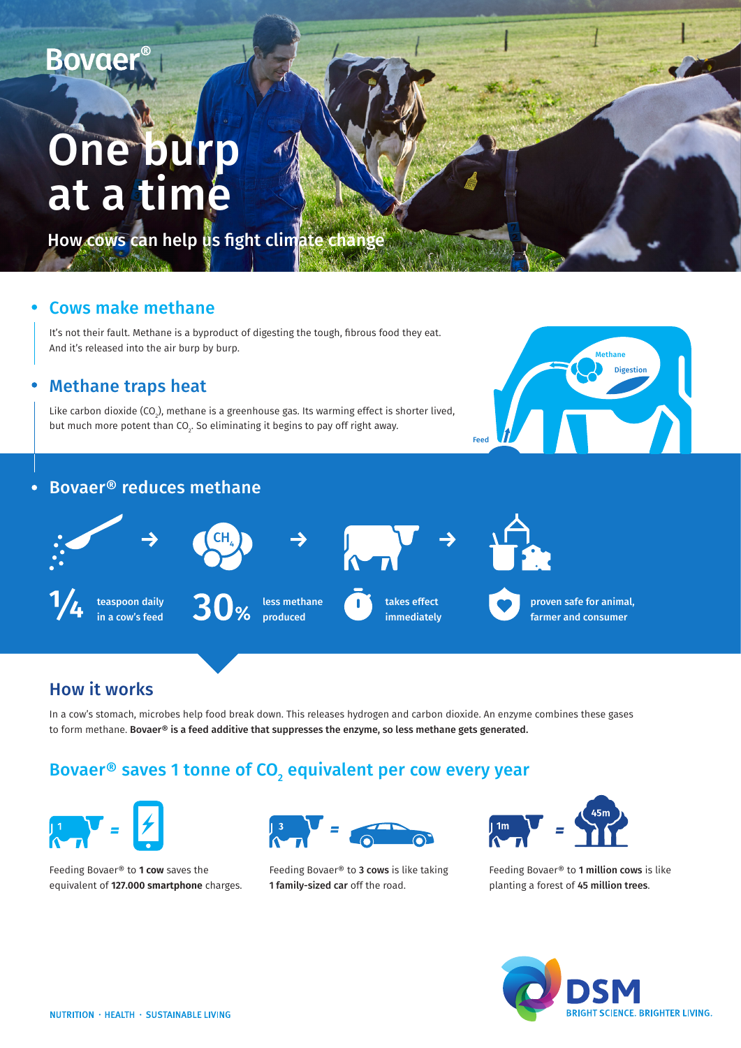# One burp at a time

How cows can help us fight climate change

#### Cows make methane

It's not their fault. Methane is a byproduct of digesting the tough, fibrous food they eat. And it's released into the air burp by burp.

#### Methane traps heat

Like carbon dioxide (CO $_{\textrm{\tiny{2}}}$ ), methane is a greenhouse gas. Its warming effect is shorter lived, but much more potent than CO $_{\textrm{\tiny{2}}}$ . So eliminating it begins to pay off right away.



#### $\bullet$ Bovaer® reduces methane



### How it works

In a cow's stomach, microbes help food break down. This releases hydrogen and carbon dioxide. An enzyme combines these gases to form methane. Bovaer® is a feed additive that suppresses the enzyme, so less methane gets generated.

## Bovaer® saves 1 tonne of CO $\rm _2$  equivalent per cow every year



Feeding Bovaer® to **1 cow** saves the equivalent of **127.000 smartphone** charges.



Feeding Bovaer® to 3 cows is like taking 1 family-sized car off the road.



Feeding Bovaer® to 1 million cows is like planting a forest of 45 million trees.